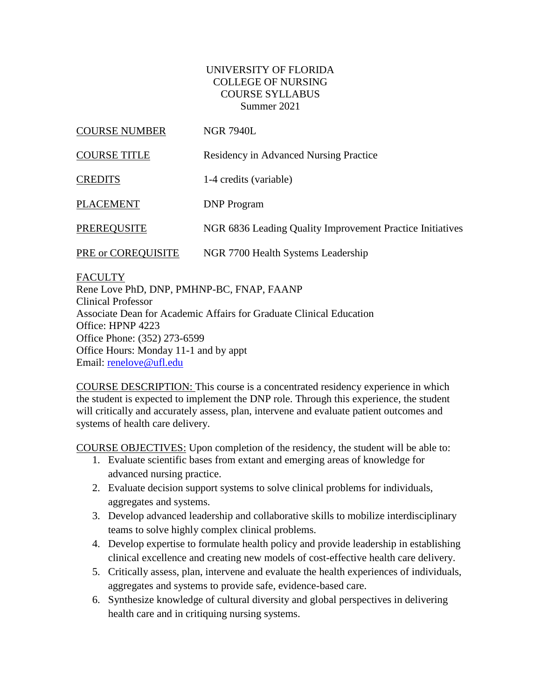### UNIVERSITY OF FLORIDA COLLEGE OF NURSING COURSE SYLLABUS Summer 2021

| <b>COURSE NUMBER</b> | <b>NGR 7940L</b>                                          |
|----------------------|-----------------------------------------------------------|
| <b>COURSE TITLE</b>  | <b>Residency in Advanced Nursing Practice</b>             |
| <b>CREDITS</b>       | 1-4 credits (variable)                                    |
| <b>PLACEMENT</b>     | <b>DNP</b> Program                                        |
| <b>PREREQUSITE</b>   | NGR 6836 Leading Quality Improvement Practice Initiatives |
| PRE or COREQUISITE   | NGR 7700 Health Systems Leadership                        |

FACULTY

Rene Love PhD, DNP, PMHNP-BC, FNAP, FAANP Clinical Professor Associate Dean for Academic Affairs for Graduate Clinical Education Office: HPNP 4223 Office Phone: (352) 273-6599 Office Hours: Monday 11-1 and by appt Email: [renelove@ufl.edu](mailto:renelove@ufl.edu)

COURSE DESCRIPTION: This course is a concentrated residency experience in which the student is expected to implement the DNP role. Through this experience, the student will critically and accurately assess, plan, intervene and evaluate patient outcomes and systems of health care delivery.

COURSE OBJECTIVES: Upon completion of the residency, the student will be able to:

- 1. Evaluate scientific bases from extant and emerging areas of knowledge for advanced nursing practice.
- 2. Evaluate decision support systems to solve clinical problems for individuals, aggregates and systems.
- 3. Develop advanced leadership and collaborative skills to mobilize interdisciplinary teams to solve highly complex clinical problems.
- 4. Develop expertise to formulate health policy and provide leadership in establishing clinical excellence and creating new models of cost-effective health care delivery.
- 5. Critically assess, plan, intervene and evaluate the health experiences of individuals, aggregates and systems to provide safe, evidence-based care.
- 6. Synthesize knowledge of cultural diversity and global perspectives in delivering health care and in critiquing nursing systems.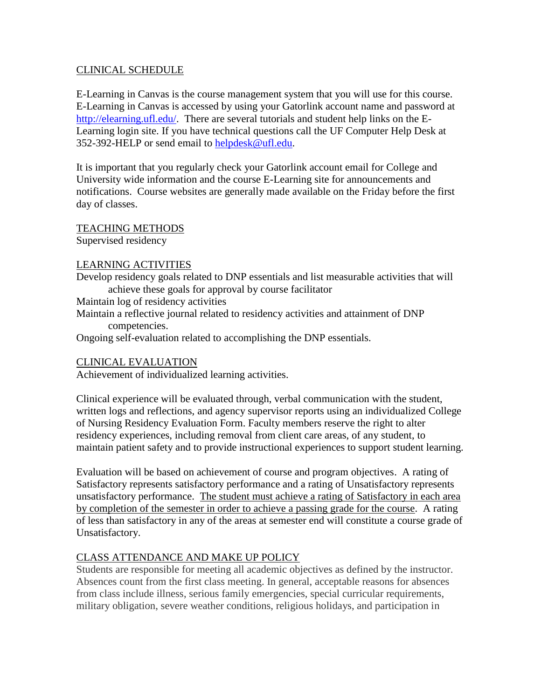### CLINICAL SCHEDULE

E-Learning in Canvas is the course management system that you will use for this course. E-Learning in Canvas is accessed by using your Gatorlink account name and password at [http://elearning.ufl.edu/.](http://elearning.ufl.edu/) There are several tutorials and student help links on the E-Learning login site. If you have technical questions call the UF Computer Help Desk at 352-392-HELP or send email to [helpdesk@ufl.edu.](mailto:helpdesk@ufl.edu)

It is important that you regularly check your Gatorlink account email for College and University wide information and the course E-Learning site for announcements and notifications. Course websites are generally made available on the Friday before the first day of classes.

#### TEACHING METHODS

Supervised residency

#### LEARNING ACTIVITIES

Develop residency goals related to DNP essentials and list measurable activities that will achieve these goals for approval by course facilitator

Maintain log of residency activities

Maintain a reflective journal related to residency activities and attainment of DNP competencies.

Ongoing self-evaluation related to accomplishing the DNP essentials.

#### CLINICAL EVALUATION

Achievement of individualized learning activities.

Clinical experience will be evaluated through, verbal communication with the student, written logs and reflections, and agency supervisor reports using an individualized College of Nursing Residency Evaluation Form. Faculty members reserve the right to alter residency experiences, including removal from client care areas, of any student, to maintain patient safety and to provide instructional experiences to support student learning.

Evaluation will be based on achievement of course and program objectives. A rating of Satisfactory represents satisfactory performance and a rating of Unsatisfactory represents unsatisfactory performance. The student must achieve a rating of Satisfactory in each area by completion of the semester in order to achieve a passing grade for the course. A rating of less than satisfactory in any of the areas at semester end will constitute a course grade of Unsatisfactory.

#### CLASS ATTENDANCE AND MAKE UP POLICY

Students are responsible for meeting all academic objectives as defined by the instructor. Absences count from the first class meeting. In general, acceptable reasons for absences from class include illness, serious family emergencies, special curricular requirements, military obligation, severe weather conditions, religious holidays, and participation in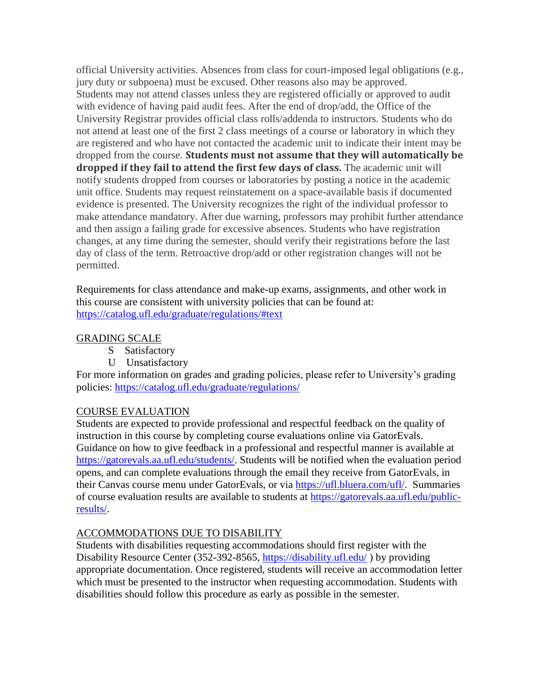official University activities. Absences from class for court-imposed legal obligations (e.g., jury duty or subpoena) must be excused. Other reasons also may be approved. Students may not attend classes unless they are registered officially or approved to audit with evidence of having paid audit fees. After the end of drop/add, the Office of the University Registrar provides official class rolls/addenda to instructors. Students who do not attend at least one of the first 2 class meetings of a course or laboratory in which they are registered and who have not contacted the academic unit to indicate their intent may be dropped from the course. **Students must not assume that they will automatically be dropped if they fail to attend the first few days of class.** The academic unit will notify students dropped from courses or laboratories by posting a notice in the academic unit office. Students may request reinstatement on a space-available basis if documented evidence is presented. The University recognizes the right of the individual professor to make attendance mandatory. After due warning, professors may prohibit further attendance and then assign a failing grade for excessive absences. Students who have registration changes, at any time during the semester, should verify their registrations before the last day of class of the term. Retroactive drop/add or other registration changes will not be permitted.

Requirements for class attendance and make-up exams, assignments, and other work in this course are consistent with university policies that can be found at: <https://catalog.ufl.edu/graduate/regulations/#text>

### GRADING SCALE

- S Satisfactory
- U Unsatisfactory

For more information on grades and grading policies, please refer to University's grading policies:<https://catalog.ufl.edu/graduate/regulations/>

#### COURSE EVALUATION

Students are expected to provide professional and respectful feedback on the quality of instruction in this course by completing course evaluations online via GatorEvals. Guidance on how to give feedback in a professional and respectful manner is available at [https://gatorevals.aa.ufl.edu/students/.](https://gatorevals.aa.ufl.edu/students/) Students will be notified when the evaluation period opens, and can complete evaluations through the email they receive from GatorEvals, in their Canvas course menu under GatorEvals, or via [https://ufl.bluera.com/ufl/.](https://ufl.bluera.com/ufl/) Summaries of course evaluation results are available to students at [https://gatorevals.aa.ufl.edu/public](https://gatorevals.aa.ufl.edu/public-results/)[results/.](https://gatorevals.aa.ufl.edu/public-results/)

# ACCOMMODATIONS DUE TO DISABILITY

Students with disabilities requesting accommodations should first register with the Disability Resource Center (352-392-8565,<https://disability.ufl.edu/> ) by providing appropriate documentation. Once registered, students will receive an accommodation letter which must be presented to the instructor when requesting accommodation. Students with disabilities should follow this procedure as early as possible in the semester.